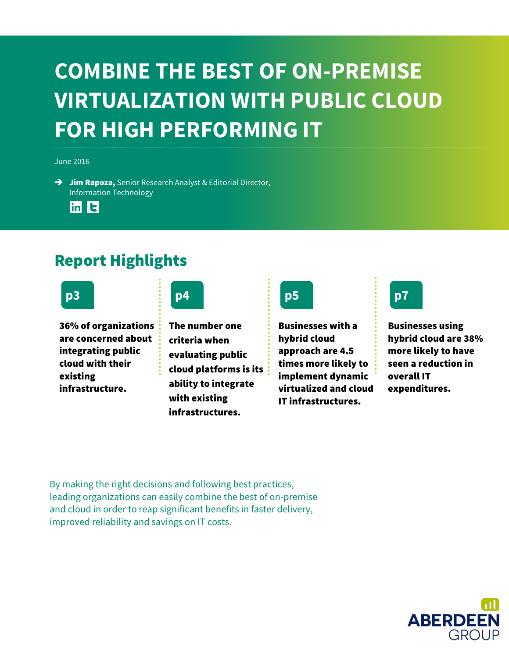### **COMBINE THE BEST OF ON-PREMISE VIRTUALIZATION WITH PUBLIC CLOUD FOR HIGH PERFORMING IT**

June 2016

 $\rightarrow$  Jim Rapoza, Senior Research Analyst & Editorial Director, Information Technology



### Report Highlights



36% of organizations are concerned about integrating public cloud with their existing infrastructure.



The number one criteria when evaluating public cloud platforms is its ability to integrate with existing infrastructures.



Businesses with a hybrid cloud approach are 4.5 times more likely to implement dynamic virtualized and cloud IT infrastructures.



Businesses using hybrid cloud are 38% more likely to have seen a reduction in overall IT expenditures.

By making the right decisions and following best practices, leading organizations can easily combine the best of on-premise and cloud in order to reap significant benefits in faster delivery, improved reliability and savings on IT costs.

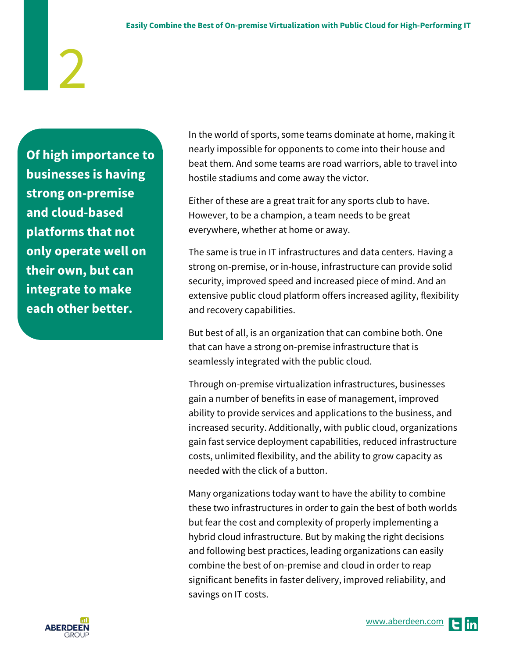**Of high importance to businesses is having strong on-premise and cloud-based platforms that not only operate well on their own, but can integrate to make each other better.** 

In the world of sports, some teams dominate at home, making it nearly impossible for opponents to come into their house and beat them. And some teams are road warriors, able to travel into hostile stadiums and come away the victor.

Either of these are a great trait for any sports club to have. However, to be a champion, a team needs to be great everywhere, whether at home or away.

The same is true in IT infrastructures and data centers. Having a strong on-premise, or in-house, infrastructure can provide solid security, improved speed and increased piece of mind. And an extensive public cloud platform offers increased agility, flexibility and recovery capabilities.

But best of all, is an organization that can combine both. One that can have a strong on-premise infrastructure that is seamlessly integrated with the public cloud.

Through on-premise virtualization infrastructures, businesses gain a number of benefits in ease of management, improved ability to provide services and applications to the business, and increased security. Additionally, with public cloud, organizations gain fast service deployment capabilities, reduced infrastructure costs, unlimited flexibility, and the ability to grow capacity as needed with the click of a button.

Many organizations today want to have the ability to combine these two infrastructures in order to gain the best of both worlds but fear the cost and complexity of properly implementing a hybrid cloud infrastructure. But by making the right decisions and following best practices, leading organizations can easily combine the best of on-premise and cloud in order to reap significant benefits in faster delivery, improved reliability, and savings on IT costs.

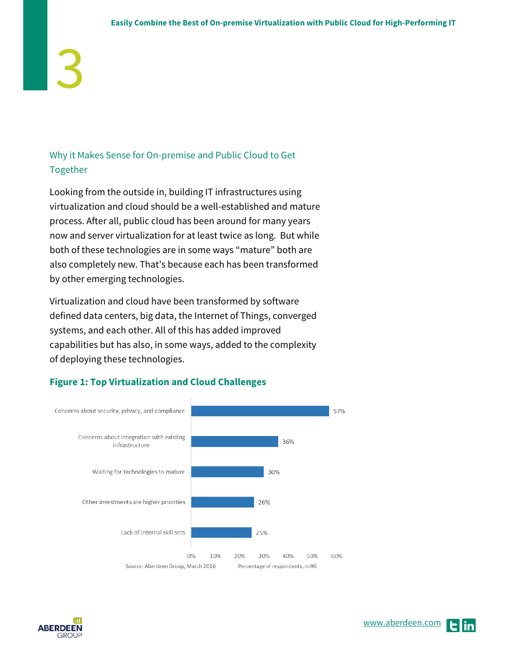### Why it Makes Sense for On-premise and Public Cloud to Get Together

Looking from the outside in, building IT infrastructures using virtualization and cloud should be a well-established and mature process. After all, public cloud has been around for many years now and server virtualization for at least twice as long. But while both of these technologies are in some ways "mature" both are also completely new. That's because each has been transformed by other emerging technologies.

Virtualization and cloud have been transformed by software defined data centers, big data, the Internet of Things, converged systems, and each other. All of this has added improved capabilities but has also, in some ways, added to the complexity of deploying these technologies.



### **Figure 1: Top Virtualization and Cloud Challenges**

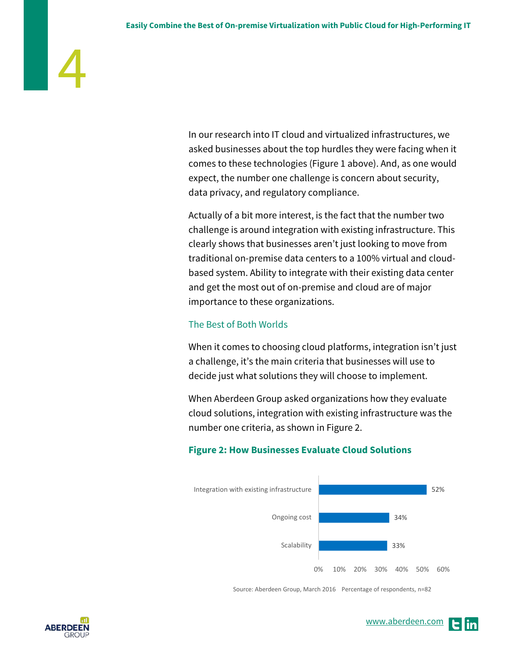In our research into IT cloud and virtualized infrastructures, we asked businesses about the top hurdles they were facing when it comes to these technologies (Figure 1 above). And, as one would expect, the number one challenge is concern about security, data privacy, and regulatory compliance.

Actually of a bit more interest, is the fact that the number two challenge is around integration with existing infrastructure. This clearly shows that businesses aren't just looking to move from traditional on-premise data centers to a 100% virtual and cloudbased system. Ability to integrate with their existing data center and get the most out of on-premise and cloud are of major importance to these organizations.

### The Best of Both Worlds

When it comes to choosing cloud platforms, integration isn't just a challenge, it's the main criteria that businesses will use to decide just what solutions they will choose to implement.

When Aberdeen Group asked organizations how they evaluate cloud solutions, integration with existing infrastructure was the number one criteria, as shown in Figure 2.

### **Figure 2: How Businesses Evaluate Cloud Solutions**



Source: Aberdeen Group, March 2016 Percentage of respondents, n=82

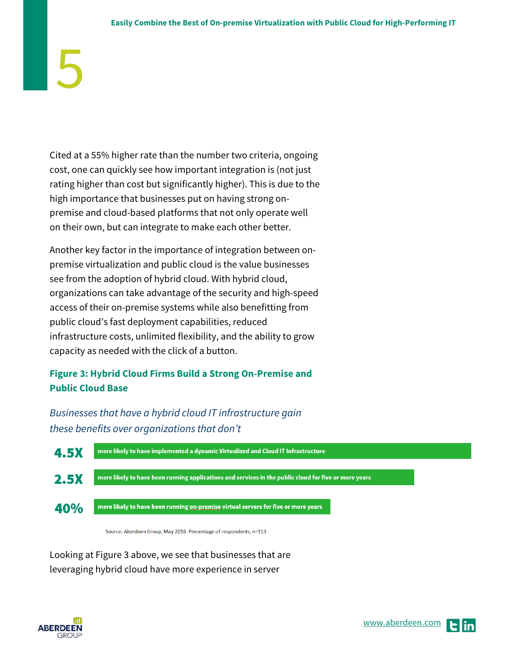Cited at a 55% higher rate than the number two criteria, ongoing cost, one can quickly see how important integration is (not just rating higher than cost but significantly higher). This is due to the high importance that businesses put on having strong onpremise and cloud-based platforms that not only operate well on their own, but can integrate to make each other better.

Another key factor in the importance of integration between onpremise virtualization and public cloud is the value businesses see from the adoption of hybrid cloud. With hybrid cloud, organizations can take advantage of the security and high-speed access of their on-premise systems while also benefitting from public cloud's fast deployment capabilities, reduced infrastructure costs, unlimited flexibility, and the ability to grow capacity as needed with the click of a button.

### **Figure 3: Hybrid Cloud Firms Build a Strong On-Premise and Public Cloud Base**

*Businesses that have a hybrid cloud IT infrastructure gain these benefits over organizations that don't*



Source: Aberdeen Group, May 2016 Percentage of respondents, n=113

Looking at Figure 3 above, we see that businesses that are leveraging hybrid cloud have more experience in server

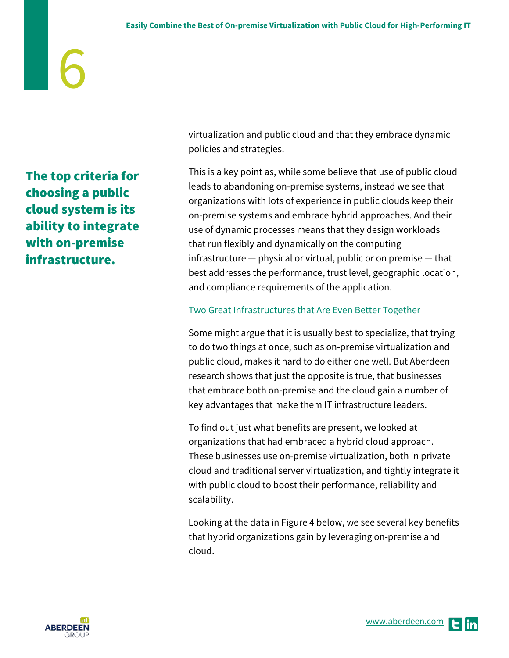The top criteria for choosing a public cloud system is its ability to integrate with on-premise infrastructure.

virtualization and public cloud and that they embrace dynamic policies and strategies.

This is a key point as, while some believe that use of public cloud leads to abandoning on-premise systems, instead we see that organizations with lots of experience in public clouds keep their on-premise systems and embrace hybrid approaches. And their use of dynamic processes means that they design workloads that run flexibly and dynamically on the computing infrastructure — physical or virtual, public or on premise — that best addresses the performance, trust level, geographic location, and compliance requirements of the application.

### Two Great Infrastructures that Are Even Better Together

Some might argue that it is usually best to specialize, that trying to do two things at once, such as on-premise virtualization and public cloud, makes it hard to do either one well. But Aberdeen research shows that just the opposite is true, that businesses that embrace both on-premise and the cloud gain a number of key advantages that make them IT infrastructure leaders.

To find out just what benefits are present, we looked at organizations that had embraced a hybrid cloud approach. These businesses use on-premise virtualization, both in private cloud and traditional server virtualization, and tightly integrate it with public cloud to boost their performance, reliability and scalability.

Looking at the data in Figure 4 below, we see several key benefits that hybrid organizations gain by leveraging on-premise and cloud.

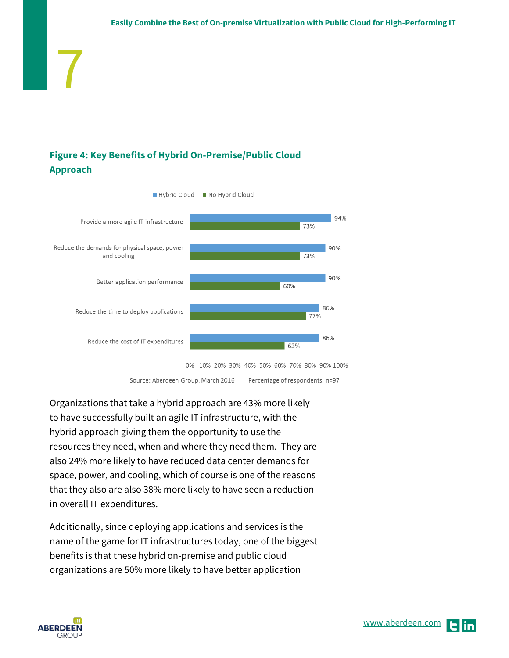### **Figure 4: Key Benefits of Hybrid On-Premise/Public Cloud Approach**



Organizations that take a hybrid approach are 43% more likely to have successfully built an agile IT infrastructure, with the hybrid approach giving them the opportunity to use the resources they need, when and where they need them. They are also 24% more likely to have reduced data center demands for space, power, and cooling, which of course is one of the reasons that they also are also 38% more likely to have seen a reduction in overall IT expenditures.

Additionally, since deploying applications and services is the name of the game for IT infrastructures today, one of the biggest benefits is that these hybrid on-premise and public cloud organizations are 50% more likely to have better application



7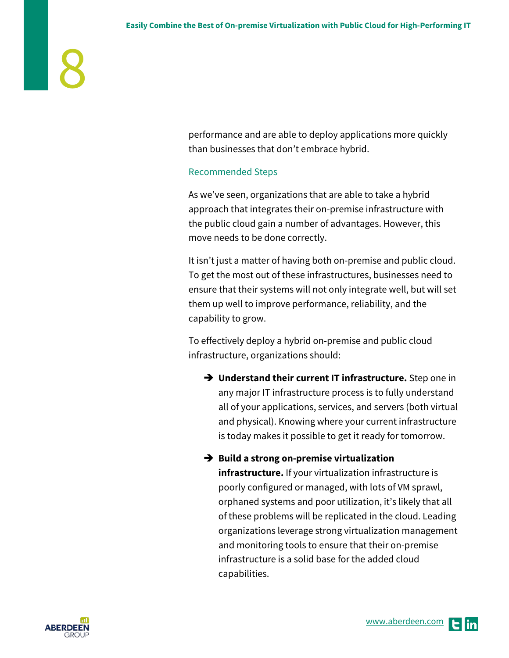performance and are able to deploy applications more quickly than businesses that don't embrace hybrid.

### Recommended Steps

As we've seen, organizations that are able to take a hybrid approach that integrates their on-premise infrastructure with the public cloud gain a number of advantages. However, this move needs to be done correctly.

It isn't just a matter of having both on-premise and public cloud. To get the most out of these infrastructures, businesses need to ensure that their systems will not only integrate well, but will set them up well to improve performance, reliability, and the capability to grow.

To effectively deploy a hybrid on-premise and public cloud infrastructure, organizations should:

→ Understand their current IT infrastructure. Step one in any major IT infrastructure process is to fully understand all of your applications, services, and servers (both virtual and physical). Knowing where your current infrastructure is today makes it possible to get it ready for tomorrow.

**→** Build a strong on-premise virtualization

**infrastructure.** If your virtualization infrastructure is poorly configured or managed, with lots of VM sprawl, orphaned systems and poor utilization, it's likely that all of these problems will be replicated in the cloud. Leading organizations leverage strong virtualization management and monitoring tools to ensure that their on-premise infrastructure is a solid base for the added cloud capabilities.

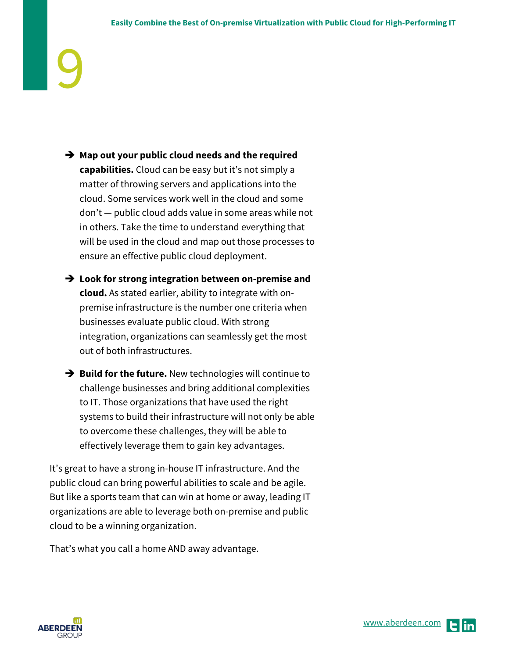- → Map out your public cloud needs and the required **capabilities.** Cloud can be easy but it's not simply a matter of throwing servers and applications into the cloud. Some services work well in the cloud and some don't — public cloud adds value in some areas while not in others. Take the time to understand everything that will be used in the cloud and map out those processes to ensure an effective public cloud deployment.
- **Look for strong integration between on-premise and cloud.** As stated earlier, ability to integrate with onpremise infrastructure is the number one criteria when businesses evaluate public cloud. With strong integration, organizations can seamlessly get the most out of both infrastructures.
- **→ Build for the future.** New technologies will continue to challenge businesses and bring additional complexities to IT. Those organizations that have used the right systems to build their infrastructure will not only be able to overcome these challenges, they will be able to effectively leverage them to gain key advantages.

It's great to have a strong in-house IT infrastructure. And the public cloud can bring powerful abilities to scale and be agile. But like a sports team that can win at home or away, leading IT organizations are able to leverage both on-premise and public cloud to be a winning organization.

That's what you call a home AND away advantage.